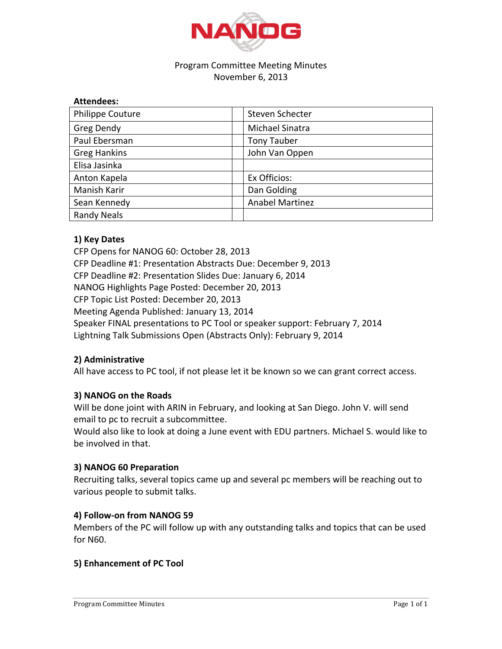

## Program Committee Meeting Minutes November 6, 2013

| <b>Attendees:</b>   |                        |  |
|---------------------|------------------------|--|
| Philippe Couture    | Steven Schecter        |  |
| <b>Greg Dendy</b>   | Michael Sinatra        |  |
| Paul Ebersman       | <b>Tony Tauber</b>     |  |
| <b>Greg Hankins</b> | John Van Oppen         |  |
| Elisa Jasinka       |                        |  |
| Anton Kapela        | Ex Officios:           |  |
| Manish Karir        | Dan Golding            |  |
| Sean Kennedy        | <b>Anabel Martinez</b> |  |
| <b>Randy Neals</b>  |                        |  |

# **1) Key Dates**

CFP Opens for NANOG 60: October 28, 2013 CFP Deadline #1: Presentation Abstracts Due: December 9, 2013 CFP Deadline #2: Presentation Slides Due: January 6, 2014 NANOG Highlights Page Posted: December 20, 2013 CFP Topic List Posted: December 20, 2013 Meeting Agenda Published: January 13, 2014 Speaker FINAL presentations to PC Tool or speaker support: February 7, 2014 Lightning Talk Submissions Open (Abstracts Only): February 9, 2014

# **2)(Administrative**

All have access to PC tool, if not please let it be known so we can grant correct access.

## **3) NANOG on the Roads**

Will be done joint with ARIN in February, and looking at San Diego. John V. will send email to pc to recruit a subcommittee.

Would also like to look at doing a June event with EDU partners. Michael S. would like to be involved in that.

## **3) NANOG 60 Preparation**

Recruiting talks, several topics came up and several pc members will be reaching out to various people to submit talks.

## **4) Follow-on from NANOG 59**

Members of the PC will follow up with any outstanding talks and topics that can be used for N60.

## **5) Enhancement of PC Tool**